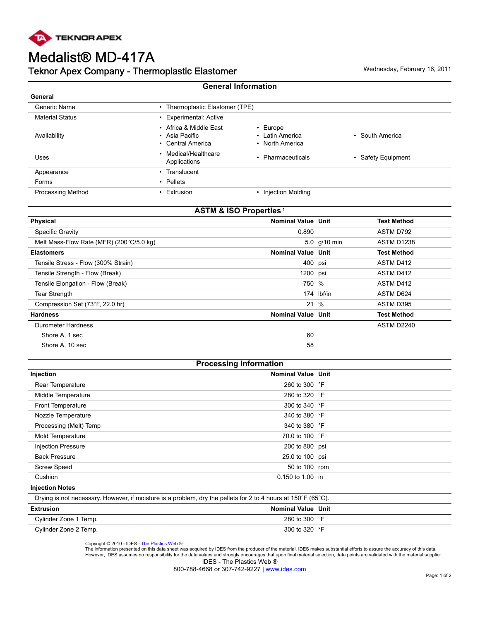

## Medalist® MD-417A Teknor Apex Company - Thermoplastic Elastomer **Manufation Company 16, 2011** Wednesday, February 16, 2011

| <b>General Information</b> |                                                                          |                                                      |                    |  |
|----------------------------|--------------------------------------------------------------------------|------------------------------------------------------|--------------------|--|
| General                    |                                                                          |                                                      |                    |  |
| Generic Name               | Thermoplastic Elastomer (TPE)<br>٠                                       |                                                      |                    |  |
| <b>Material Status</b>     | <b>Experimental: Active</b>                                              |                                                      |                    |  |
| Availability               | • Africa & Middle East<br>Asia Pacific<br>$\bullet$<br>• Central America | $\cdot$ Europe<br>• Latin America<br>• North America | • South America    |  |
| Uses                       | • Medical/Healthcare<br>Applications                                     | • Pharmaceuticals                                    | • Safety Equipment |  |
| Appearance                 | • Translucent                                                            |                                                      |                    |  |
| Forms                      | $\cdot$ Pellets                                                          |                                                      |                    |  |
| <b>Processing Method</b>   | Extrusion                                                                | <b>Injection Molding</b>                             |                    |  |

| <b>ASTM &amp; ISO Properties<sup>1</sup></b> |                           |              |                    |  |  |
|----------------------------------------------|---------------------------|--------------|--------------------|--|--|
| Physical                                     | <b>Nominal Value Unit</b> |              | Test Method        |  |  |
| Specific Gravity                             | 0.890                     |              | ASTM D792          |  |  |
| Melt Mass-Flow Rate (MFR) (200°C/5.0 kg)     |                           | 5.0 g/10 min | ASTM D1238         |  |  |
| <b>Elastomers</b>                            | <b>Nominal Value Unit</b> |              | Test Method        |  |  |
| Tensile Stress - Flow (300% Strain)          | 400 psi                   |              | ASTM D412          |  |  |
| Tensile Strength - Flow (Break)              | 1200 psi                  |              | ASTM D412          |  |  |
| Tensile Elongation - Flow (Break)            | 750 %                     |              | ASTM D412          |  |  |
| Tear Strength                                |                           | 174 lbf/in   | ASTM D624          |  |  |
| Compression Set (73°F, 22.0 hr)              |                           | 21 %         | ASTM D395          |  |  |
| <b>Hardness</b>                              | <b>Nominal Value Unit</b> |              | <b>Test Method</b> |  |  |
| <b>Durometer Hardness</b>                    |                           |              | ASTM D2240         |  |  |
| Shore A, 1 sec                               | 60                        |              |                    |  |  |
| Shore A, 10 sec                              | 58                        |              |                    |  |  |
|                                              |                           |              |                    |  |  |

| <b>Processing Information</b> |                           |  |  |
|-------------------------------|---------------------------|--|--|
| Injection                     | <b>Nominal Value Unit</b> |  |  |
| Rear Temperature              | 260 to 300 °F             |  |  |
| Middle Temperature            | 280 to 320 °F             |  |  |
| Front Temperature             | 300 to 340 °F             |  |  |
| Nozzle Temperature            | 340 to 380 °F             |  |  |
| Processing (Melt) Temp        | 340 to 380 °F             |  |  |
| Mold Temperature              | 70.0 to 100 °F            |  |  |
| <b>Injection Pressure</b>     | 200 to 800 psi            |  |  |
| <b>Back Pressure</b>          | 25.0 to 100 psi           |  |  |
| <b>Screw Speed</b>            | 50 to 100 rpm             |  |  |
| Cushion                       | 0.150 to 1.00 in          |  |  |
| <b>Injection Notes</b>        |                           |  |  |

Drying is not necessary. However, if moisture is a problem, dry the pellets for 2 to 4 hours at 150°F (65°C).

| <b>Extrusion</b>      | Nominal Value Unit     |  |
|-----------------------|------------------------|--|
| Cylinder Zone 1 Temp. | 280 to 300 $\degree$ F |  |
| Cylinder Zone 2 Temp. | 300 to 320 $\degree$ F |  |

Copyright © 2010 - IDES - [The Plastics Web ®](http://www.ides.com)<br>The information presented on this data sheet was acquired by IDES from the producer of the material. IDES makes substantial efforts to assure the accuracy of this data. However, IDES assumes no responsibility for the data values and strongly encourages that upon final material selection, data points are validated with the material supplier. IDES - The Plastics Web ®

800-788-4668 or 307-742-9227 | [www.ides.com](http://www.ides.com)